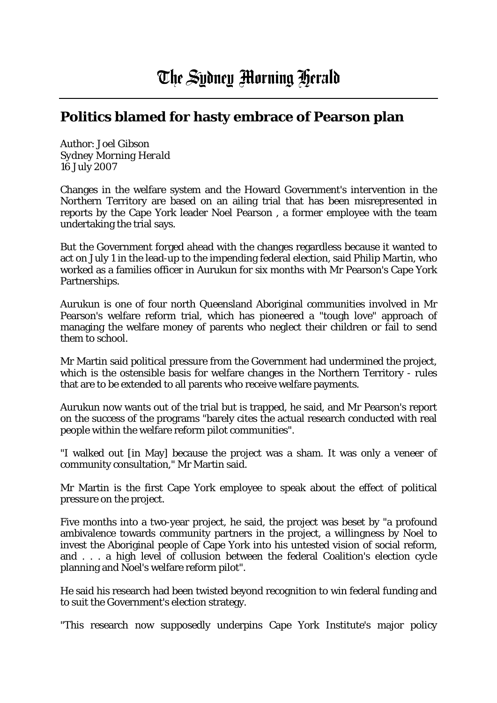## **Politics blamed for hasty embrace of Pearson plan**

Author: Joel Gibson *Sydney Morning Herald* 16 July 2007

Changes in the welfare system and the Howard Government's intervention in the Northern Territory are based on an ailing trial that has been misrepresented in reports by the Cape York leader Noel Pearson , a former employee with the team undertaking the trial says.

But the Government forged ahead with the changes regardless because it wanted to act on July 1 in the lead-up to the impending federal election, said Philip Martin, who worked as a families officer in Aurukun for six months with Mr Pearson's Cape York Partnerships.

Aurukun is one of four north Queensland Aboriginal communities involved in Mr Pearson's welfare reform trial, which has pioneered a "tough love" approach of managing the welfare money of parents who neglect their children or fail to send them to school.

Mr Martin said political pressure from the Government had undermined the project, which is the ostensible basis for welfare changes in the Northern Territory - rules that are to be extended to all parents who receive welfare payments.

Aurukun now wants out of the trial but is trapped, he said, and Mr Pearson's report on the success of the programs "barely cites the actual research conducted with real people within the welfare reform pilot communities".

"I walked out [in May] because the project was a sham. It was only a veneer of community consultation," Mr Martin said.

Mr Martin is the first Cape York employee to speak about the effect of political pressure on the project.

Five months into a two-year project, he said, the project was beset by "a profound ambivalence towards community partners in the project, a willingness by Noel to invest the Aboriginal people of Cape York into his untested vision of social reform, and . . . a high level of collusion between the federal Coalition's election cycle planning and Noel's welfare reform pilot".

He said his research had been twisted beyond recognition to win federal funding and to suit the Government's election strategy.

"This research now supposedly underpins Cape York Institute's major policy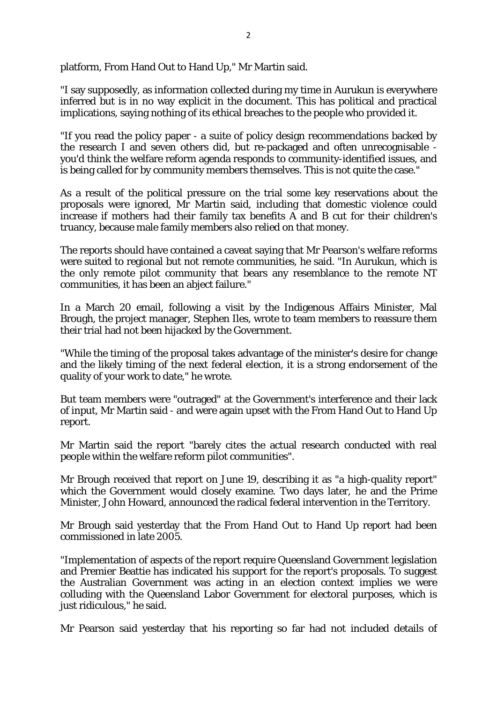platform, From Hand Out to Hand Up," Mr Martin said.

"I say supposedly, as information collected during my time in Aurukun is everywhere inferred but is in no way explicit in the document. This has political and practical implications, saying nothing of its ethical breaches to the people who provided it.

"If you read the policy paper - a suite of policy design recommendations backed by the research I and seven others did, but re-packaged and often unrecognisable you'd think the welfare reform agenda responds to community-identified issues, and is being called for by community members themselves. This is not quite the case."

As a result of the political pressure on the trial some key reservations about the proposals were ignored, Mr Martin said, including that domestic violence could increase if mothers had their family tax benefits A and B cut for their children's truancy, because male family members also relied on that money.

The reports should have contained a caveat saying that Mr Pearson's welfare reforms were suited to regional but not remote communities, he said. "In Aurukun, which is the only remote pilot community that bears any resemblance to the remote NT communities, it has been an abject failure."

In a March 20 email, following a visit by the Indigenous Affairs Minister, Mal Brough, the project manager, Stephen Iles, wrote to team members to reassure them their trial had not been hijacked by the Government.

"While the timing of the proposal takes advantage of the minister's desire for change and the likely timing of the next federal election, it is a strong endorsement of the quality of your work to date," he wrote.

But team members were "outraged" at the Government's interference and their lack of input, Mr Martin said - and were again upset with the From Hand Out to Hand Up report.

Mr Martin said the report "barely cites the actual research conducted with real people within the welfare reform pilot communities".

Mr Brough received that report on June 19, describing it as "a high-quality report" which the Government would closely examine. Two days later, he and the Prime Minister, John Howard, announced the radical federal intervention in the Territory.

Mr Brough said yesterday that the From Hand Out to Hand Up report had been commissioned in late 2005.

"Implementation of aspects of the report require Queensland Government legislation and Premier Beattie has indicated his support for the report's proposals. To suggest the Australian Government was acting in an election context implies we were colluding with the Queensland Labor Government for electoral purposes, which is just ridiculous," he said.

Mr Pearson said yesterday that his reporting so far had not included details of